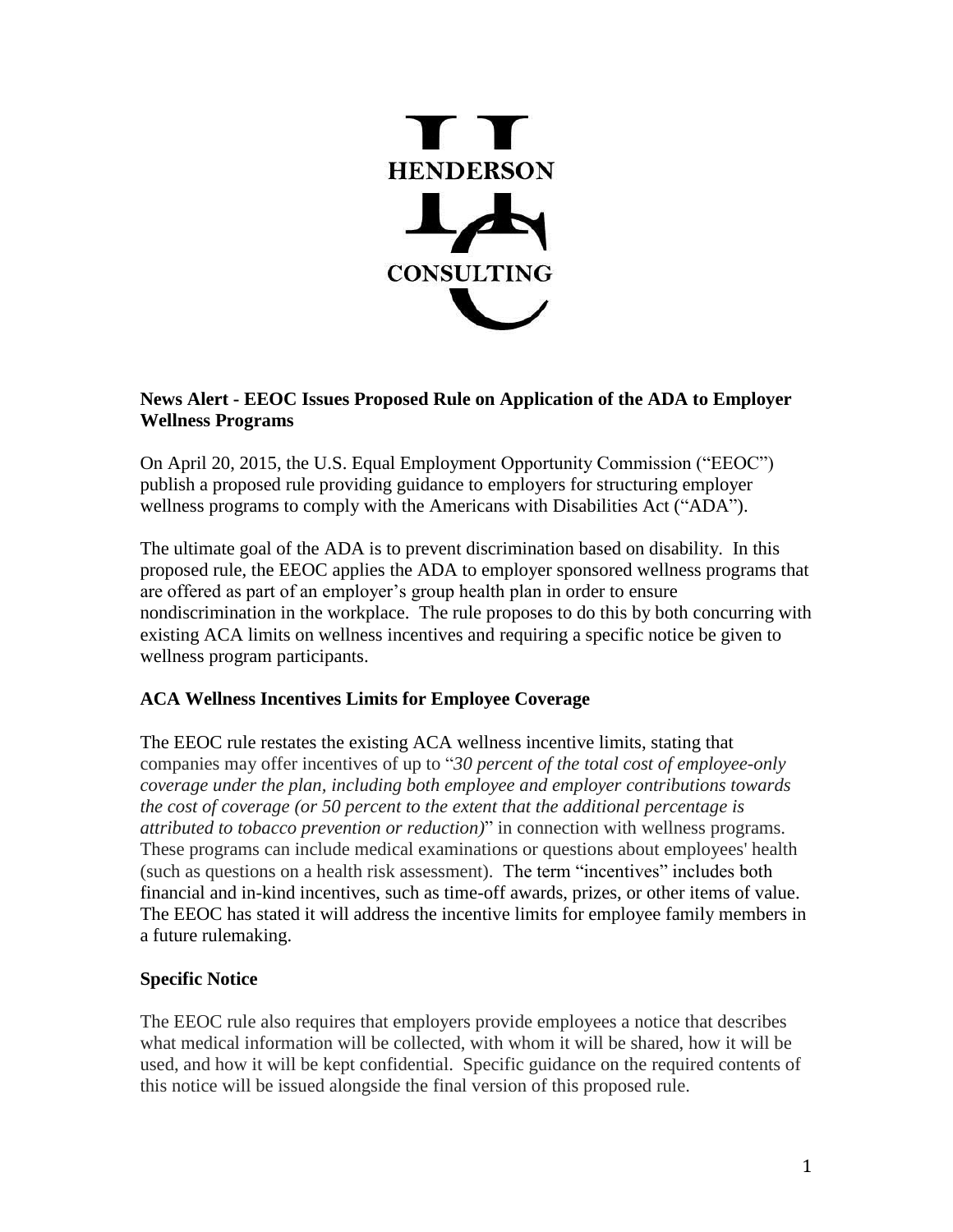

## **News Alert - EEOC Issues Proposed Rule on Application of the ADA to Employer Wellness Programs**

On April 20, 2015, the U.S. Equal Employment Opportunity Commission ("EEOC") publish a proposed rule providing guidance to employers for structuring employer wellness programs to comply with the Americans with Disabilities Act ("ADA").

The ultimate goal of the ADA is to prevent discrimination based on disability. In this proposed rule, the EEOC applies the ADA to employer sponsored wellness programs that are offered as part of an employer's group health plan in order to ensure nondiscrimination in the workplace. The rule proposes to do this by both concurring with existing ACA limits on wellness incentives and requiring a specific notice be given to wellness program participants.

## **ACA Wellness Incentives Limits for Employee Coverage**

The EEOC rule restates the existing ACA wellness incentive limits, stating that companies may offer incentives of up to "*30 percent of the total cost of employee-only coverage under the plan, including both employee and employer contributions towards the cost of coverage (or 50 percent to the extent that the additional percentage is attributed to tobacco prevention or reduction)*" in connection with wellness programs. These programs can include medical examinations or questions about employees' health (such as questions on a health risk assessment). The term "incentives" includes both financial and in-kind incentives, such as time-off awards, prizes, or other items of value. The EEOC has stated it will address the incentive limits for employee family members in a future rulemaking.

## **Specific Notice**

The EEOC rule also requires that employers provide employees a notice that describes what medical information will be collected, with whom it will be shared, how it will be used, and how it will be kept confidential. Specific guidance on the required contents of this notice will be issued alongside the final version of this proposed rule.